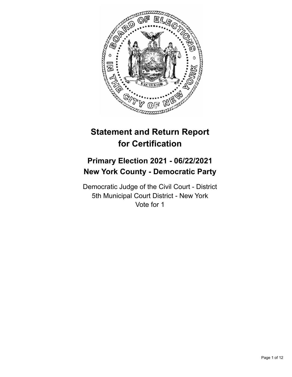

# **Statement and Return Report for Certification**

# **Primary Election 2021 - 06/22/2021 New York County - Democratic Party**

Democratic Judge of the Civil Court - District 5th Municipal Court District - New York Vote for 1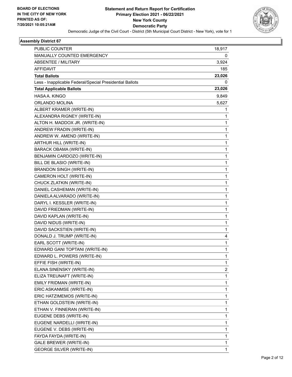

| <b>PUBLIC COUNTER</b>                                    | 18,917 |
|----------------------------------------------------------|--------|
| MANUALLY COUNTED EMERGENCY                               | 0      |
| ABSENTEE / MILITARY                                      | 3,924  |
| AFFIDAVIT                                                | 185    |
| <b>Total Ballots</b>                                     | 23,026 |
| Less - Inapplicable Federal/Special Presidential Ballots | 0      |
| <b>Total Applicable Ballots</b>                          | 23,026 |
| HASA A. KINGO                                            | 9,849  |
| ORLANDO MOLINA                                           | 5,627  |
| ALBERT KRAMER (WRITE-IN)                                 | 1      |
| ALEXANDRA RIGNEY (WRITE-IN)                              | 1      |
| ALTON H. MADDOX JR. (WRITE-IN)                           | 1      |
| ANDREW FRADIN (WRITE-IN)                                 | 1      |
| ANDREW W. AMEND (WRITE-IN)                               | 1      |
| ARTHUR HILL (WRITE-IN)                                   | 1      |
| <b>BARACK OBAMA (WRITE-IN)</b>                           | 1      |
| BENJAMIN CARDOZO (WRITE-IN)                              | 1      |
| BILL DE BLASIO (WRITE-IN)                                | 1      |
| <b>BRANDON SINGH (WRITE-IN)</b>                          | 1      |
| CAMERON HOLT (WRITE-IN)                                  | 1      |
| CHUCK ZLATKIN (WRITE-IN)                                 | 1      |
| DANIEL CASHEMAN (WRITE-IN)                               | 1      |
| DANIELA ALVARADO (WRITE-IN)                              | 1      |
| DARYL I. KESSLER (WRITE-IN)                              | 1      |
| DAVID FRIEDMAN (WRITE-IN)                                | 1      |
| DAVID KAPLAN (WRITE-IN)                                  | 1      |
| DAVID NIDUS (WRITE-IN)                                   | 1      |
| DAVID SACKSTIEN (WRITE-IN)                               | 1      |
| DONALD J. TRUMP (WRITE-IN)                               | 4      |
| EARL SCOTT (WRITE-IN)                                    | 1      |
| EDWARD GANI TOPTANI (WRITE-IN)                           | 1      |
| EDWARD L. POWERS (WRITE-IN)                              | 1      |
| EFFIE FISH (WRITE-IN)                                    | 1      |
| ELANA SINENSKY (WRITE-IN)                                | 2      |
| ELIZA TREUNAFT (WRITE-IN)                                | 1      |
| EMILY FRIDMAN (WRITE-IN)                                 | 1      |
| ERIC ASKANMSE (WRITE-IN)                                 | 1      |
| ERIC HATZIMEMOS (WRITE-IN)                               | 1      |
| ETHAN GOLDSTEIN (WRITE-IN)                               | 1      |
| ETHAN V. FINNERAN (WRITE-IN)                             | 1      |
| EUGENE DEBS (WRITE-IN)                                   | 1      |
| EUGENE NARDELLI (WRITE-IN)                               | 1      |
| EUGENE V. DEBS (WRITE-IN)                                | 1      |
| FAYDA FAYDA (WRITE-IN)                                   | 1      |
| GALE BREWER (WRITE-IN)                                   | 1      |
| <b>GEORGE SILVER (WRITE-IN)</b>                          | 1      |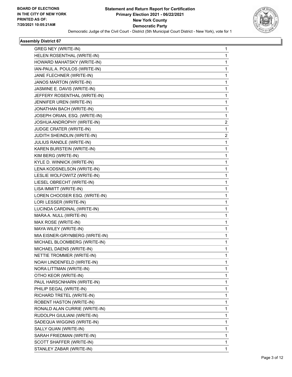

| GREG NEY (WRITE-IN)            | 1                       |
|--------------------------------|-------------------------|
| HELEN ROSENTHAL (WRITE-IN)     | 1                       |
| HOWARD MAHATSKY (WRITE-IN)     | $\mathbf{1}$            |
| IAN-PAUL A. POULOS (WRITE-IN)  | 1                       |
| JANE FLECHNER (WRITE-IN)       | $\mathbf 1$             |
| JANOS MARTON (WRITE-IN)        | $\mathbf{1}$            |
| JASMINE E. DAVIS (WRITE-IN)    | $\mathbf{1}$            |
| JEFFERY ROSENTHAL (WRITE-IN)   | 1                       |
| JENNIFER UREN (WRITE-IN)       | $\mathbf{1}$            |
| JONATHAN BACH (WRITE-IN)       | 1                       |
| JOSEPH ORIAN, ESQ. (WRITE-IN)  | 1                       |
| JOSHUA ANDROPHY (WRITE-IN)     | $\overline{\mathbf{c}}$ |
| JUDGE CRATER (WRITE-IN)        | $\mathbf{1}$            |
| JUDITH SHEINDLIN (WRITE-IN)    | 2                       |
| JULIUS RANDLE (WRITE-IN)       | $\mathbf{1}$            |
| KAREN BURSTEIN (WRITE-IN)      | 1                       |
| KIM BERG (WRITE-IN)            | $\mathbf 1$             |
| KYLE D. WINNICK (WRITE-IN)     | $\mathbf{1}$            |
| LENA KODSNELSON (WRITE-IN)     | $\mathbf{1}$            |
| LESLIE WOLFOWITZ (WRITE-IN)    | 1                       |
| LIESEL OBRECHT (WRITE-IN)      | $\mathbf{1}$            |
| LISA IMMITT (WRITE-IN)         | 1                       |
| LOREN CHOOSER ESQ. (WRITE-IN)  | $\mathbf 1$             |
| LORI LESSER (WRITE-IN)         | $\mathbf{1}$            |
| LUCINDA CARDINAL (WRITE-IN)    | $\mathbf{1}$            |
| MARA A. NULL (WRITE-IN)        | 1                       |
| MAX ROSE (WRITE-IN)            | $\mathbf{1}$            |
| MAYA WILEY (WRITE-IN)          | 1                       |
| MIA EISNER-GRYNBERG (WRITE-IN) | $\mathbf 1$             |
| MICHAEL BLOOMBERG (WRITE-IN)   | $\mathbf{1}$            |
| MICHAEL DAENS (WRITE-IN)       | $\mathbf{1}$            |
| NETTIE TROMMER (WRITE-IN)      | 1                       |
| NOAH LINDENFELD (WRITE-IN)     | $\mathbf{1}$            |
| NORA LITTMAN (WRITE-IN)        | 1                       |
| OTHO KEOR (WRITE-IN)           | $\mathbf{1}$            |
| PAUL HARSCNHARN (WRITE-IN)     | $\mathbf{1}$            |
| PHILIP SEGAL (WRITE-IN)        | $\mathbf{1}$            |
| RICHARD TRETEL (WRITE-IN)      | 1                       |
| ROBENT HASTON (WRITE-IN)       | $\mathbf{1}$            |
| RONALD ALAN CURRIE (WRITE-IN)  | $\mathbf{1}$            |
| RUDOLPH GIULIANI (WRITE-IN)    | $\mathbf{1}$            |
| SADEQUA WIGGINS (WRITE-IN)     | $\mathbf{1}$            |
| SALLY QUAN (WRITE-IN)          | $\mathbf{1}$            |
| SARAH FRIEDMAN (WRITE-IN)      | 1                       |
| SCOTT SHAFFER (WRITE-IN)       | $\mathbf{1}$            |
| STANLEY ZABAR (WRITE-IN)       | 1                       |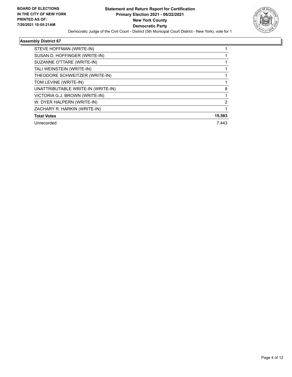

| STEVE HOFFMAN (WRITE-IN)           |        |
|------------------------------------|--------|
| SUSAN D. HOFFINGER (WRITE-IN)      |        |
| SUZANNE O'TTARE (WRITE-IN)         |        |
| TALI WEINSTEIN (WRITE-IN)          |        |
| THEODORE SCHWEITZER (WRITE-IN)     |        |
| TOM LEVINE (WRITE-IN)              |        |
| UNATTRIBUTABLE WRITE-IN (WRITE-IN) | 8      |
| VICTORIA G.J. BROWN (WRITE-IN)     |        |
| W. DYER HALPERN (WRITE-IN)         | 2      |
| ZACHARY R. HARKIN (WRITE-IN)       |        |
| <b>Total Votes</b>                 | 15,583 |
| Unrecorded                         | 7.443  |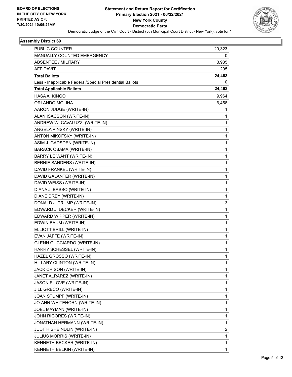

| PUBLIC COUNTER                                           | 20,323 |
|----------------------------------------------------------|--------|
| MANUALLY COUNTED EMERGENCY                               | 0      |
| <b>ABSENTEE / MILITARY</b>                               | 3,935  |
| <b>AFFIDAVIT</b>                                         | 205    |
| <b>Total Ballots</b>                                     | 24,463 |
| Less - Inapplicable Federal/Special Presidential Ballots | 0      |
| <b>Total Applicable Ballots</b>                          | 24,463 |
| HASA A. KINGO                                            | 9,964  |
| ORLANDO MOLINA                                           | 6,458  |
| AARON JUDGE (WRITE-IN)                                   | 1      |
| ALAN ISACSON (WRITE-IN)                                  | 1      |
| ANDREW W. CAVALUZZI (WRITE-IN)                           | 1      |
| ANGELA PINSKY (WRITE-IN)                                 | 1      |
| ANTON MIKOFSKY (WRITE-IN)                                | 1      |
| ASIM J. GADSDEN (WRITE-IN)                               | 1      |
| <b>BARACK OBAMA (WRITE-IN)</b>                           | 1      |
| BARRY LEIWANT (WRITE-IN)                                 | 1      |
| BERNIE SANDERS (WRITE-IN)                                | 1      |
| DAVID FRANKEL (WRITE-IN)                                 | 1      |
| DAVID GALANTER (WRITE-IN)                                | 1      |
| DAVID WEISS (WRITE-IN)                                   | 1      |
| DIANA J. BASSO (WRITE-IN)                                | 1      |
| DIANE DREY (WRITE-IN)                                    | 1      |
| DONALD J. TRUMP (WRITE-IN)                               | 3      |
| EDWARD J. DECKER (WRITE-IN)                              | 1      |
| EDWARD WIPPER (WRITE-IN)                                 | 1      |
| EDWIN BAUM (WRITE-IN)                                    | 1      |
| ELLIOTT BRILL (WRITE-IN)                                 | 1      |
| EVAN JAFFE (WRITE-IN)                                    | 1      |
| <b>GLENN GUCCIARDO (WRITE-IN)</b>                        | 1      |
| HARRY SCHESSEL (WRITE-IN)                                | 1      |
| HAZEL GROSSO (WRITE-IN)                                  | 1      |
| HILLARY CLINTON (WRITE-IN)                               | 1      |
| JACK CRISON (WRITE-IN)                                   | 1      |
| JANET ALRAREZ (WRITE-IN)                                 | 1      |
| JASON F LOVE (WRITE-IN)                                  | 1      |
| JILL GRECO (WRITE-IN)                                    | 1      |
| JOAN STUMPF (WRITE-IN)                                   | 1      |
| JO-ANN WHITEHORN (WRITE-IN)                              | 1      |
| JOEL MAYMAN (WRITE-IN)                                   | 1      |
| JOHN RIGORES (WRITE-IN)                                  | 1      |
| JONATHAN HERMANN (WRITE-IN)                              | 1      |
| <b>JUDITH SHEINDLIN (WRITE-IN)</b>                       | 2      |
| JULIUS MORRIS (WRITE-IN)                                 | 1      |
| KENNETH BECKER (WRITE-IN)                                | 1      |
| KENNETH BELKIN (WRITE-IN)                                | 1      |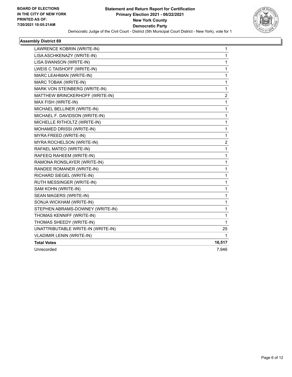

| LAWRENCE KOBRIN (WRITE-IN)         | 1              |
|------------------------------------|----------------|
| LISA ASCHKENAZY (WRITE-IN)         | 1              |
| LISA SWANSON (WRITE-IN)            | 1              |
| LWEIS C TAISHOFF (WRITE-IN)        | 1              |
| MARC LEAHMAN (WRITE-IN)            | $\mathbf{1}$   |
| MARC TOBAK (WRITE-IN)              | 1              |
| MARK VON STEINBERG (WRITE-IN)      | 1              |
| MATTHEW BRINCKERHOFF (WRITE-IN)    | $\overline{c}$ |
| MAX FISH (WRITE-IN)                | 1              |
| MICHAEL BELLINER (WRITE-IN)        | 1              |
| MICHAEL F. DAVIDSON (WRITE-IN)     | 1              |
| MICHELLE RITHOLTZ (WRITE-IN)       | 1              |
| MOHAMED DRISSI (WRITE-IN)          | 1              |
| MYRA FREED (WRITE-IN)              | 1              |
| MYRA ROCHELSON (WRITE-IN)          | 2              |
| RAFAEL MATEO (WRITE-IN)            | 1              |
| RAFEEQ RAHEEM (WRITE-IN)           | 1              |
| RAMONA RONSLAYER (WRITE-IN)        | 1              |
| RANDEE ROMANER (WRITE-IN)          | 1              |
| RICHARD SIEGEL (WRITE-IN)          | 1              |
| RUTH MESSINGER (WRITE-IN)          | 1              |
| SAM KOHN (WRITE-IN)                | 1              |
| SEAN MAGERS (WRITE-IN)             | 1              |
| SONJA WICKHAM (WRITE-IN)           | $\mathbf{1}$   |
| STEPHEN ABRAMS-DOWNEY (WRITE-IN)   | 1              |
| THOMAS KENNIFF (WRITE-IN)          | 1              |
| THOMAS SHEEDY (WRITE-IN)           | 1              |
| UNATTRIBUTABLE WRITE-IN (WRITE-IN) | 25             |
| <b>VLADIMIR LENIN (WRITE-IN)</b>   | 1              |
| <b>Total Votes</b>                 | 16,517         |
| Unrecorded                         | 7,946          |
|                                    |                |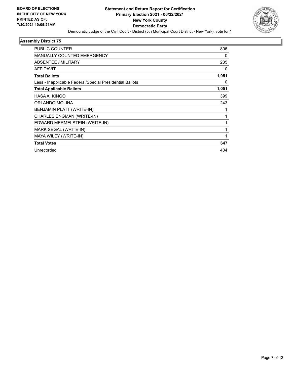

| PUBLIC COUNTER                                           | 806   |
|----------------------------------------------------------|-------|
| MANUALLY COUNTED EMERGENCY                               | 0     |
| ABSENTEE / MILITARY                                      | 235   |
| <b>AFFIDAVIT</b>                                         | 10    |
| <b>Total Ballots</b>                                     | 1,051 |
| Less - Inapplicable Federal/Special Presidential Ballots | 0     |
| <b>Total Applicable Ballots</b>                          | 1,051 |
| HASA A. KINGO                                            | 399   |
| ORLANDO MOLINA                                           | 243   |
| BENJAMIN PLATT (WRITE-IN)                                |       |
| CHARLES ENGMAN (WRITE-IN)                                | 1     |
| EDWARD MERMELSTEIN (WRITE-IN)                            |       |
| MARK SEGAL (WRITE-IN)                                    |       |
| MAYA WILEY (WRITE-IN)                                    | 1     |
| <b>Total Votes</b>                                       | 647   |
| Unrecorded                                               | 404   |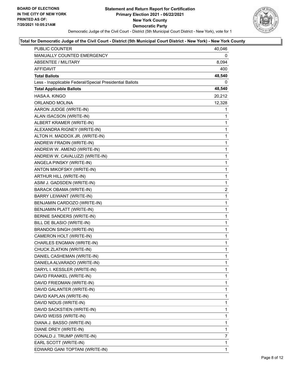

| PUBLIC COUNTER                                           | 40,046                  |
|----------------------------------------------------------|-------------------------|
| MANUALLY COUNTED EMERGENCY                               | 0                       |
| <b>ABSENTEE / MILITARY</b>                               | 8,094                   |
| AFFIDAVIT                                                | 400                     |
| <b>Total Ballots</b>                                     | 48,540                  |
| Less - Inapplicable Federal/Special Presidential Ballots | 0                       |
| <b>Total Applicable Ballots</b>                          | 48,540                  |
| HASA A. KINGO                                            | 20,212                  |
| ORLANDO MOLINA                                           | 12,328                  |
| AARON JUDGE (WRITE-IN)                                   | 1                       |
| ALAN ISACSON (WRITE-IN)                                  | 1                       |
| ALBERT KRAMER (WRITE-IN)                                 | $\mathbf{1}$            |
| ALEXANDRA RIGNEY (WRITE-IN)                              | $\mathbf{1}$            |
| ALTON H. MADDOX JR. (WRITE-IN)                           | 1                       |
| ANDREW FRADIN (WRITE-IN)                                 | $\mathbf{1}$            |
| ANDREW W. AMEND (WRITE-IN)                               | $\mathbf{1}$            |
| ANDREW W. CAVALUZZI (WRITE-IN)                           | 1                       |
| ANGELA PINSKY (WRITE-IN)                                 | $\mathbf{1}$            |
| ANTON MIKOFSKY (WRITE-IN)                                | $\mathbf{1}$            |
| ARTHUR HILL (WRITE-IN)                                   | 1                       |
| ASIM J. GADSDEN (WRITE-IN)                               | $\mathbf{1}$            |
| BARACK OBAMA (WRITE-IN)                                  | $\overline{\mathbf{c}}$ |
| BARRY LEIWANT (WRITE-IN)                                 | 1                       |
| BENJAMIN CARDOZO (WRITE-IN)                              | $\mathbf{1}$            |
| BENJAMIN PLATT (WRITE-IN)                                | $\mathbf{1}$            |
| BERNIE SANDERS (WRITE-IN)                                | 1                       |
| BILL DE BLASIO (WRITE-IN)                                | $\mathbf{1}$            |
| <b>BRANDON SINGH (WRITE-IN)</b>                          | 1                       |
| CAMERON HOLT (WRITE-IN)                                  | 1                       |
| CHARLES ENGMAN (WRITE-IN)                                | $\mathbf{1}$            |
| CHUCK ZLATKIN (WRITE-IN)                                 | 1                       |
| DANIEL CASHEMAN (WRITE-IN)                               | $\mathbf{1}$            |
| DANIELA ALVARADO (WRITE-IN)                              | 1                       |
| DARYL I. KESSLER (WRITE-IN)                              | 1                       |
| DAVID FRANKEL (WRITE-IN)                                 | 1                       |
| DAVID FRIEDMAN (WRITE-IN)                                | 1                       |
| DAVID GALANTER (WRITE-IN)                                | 1                       |
| DAVID KAPLAN (WRITE-IN)                                  | 1                       |
| DAVID NIDUS (WRITE-IN)                                   | 1                       |
| DAVID SACKSTIEN (WRITE-IN)                               | 1                       |
| DAVID WEISS (WRITE-IN)                                   | 1                       |
| DIANA J. BASSO (WRITE-IN)                                | 1                       |
| DIANE DREY (WRITE-IN)                                    | 1                       |
| DONALD J. TRUMP (WRITE-IN)                               | 7                       |
| EARL SCOTT (WRITE-IN)                                    | $\mathbf{1}$            |
| EDWARD GANI TOPTANI (WRITE-IN)                           | $\mathbf{1}$            |
|                                                          |                         |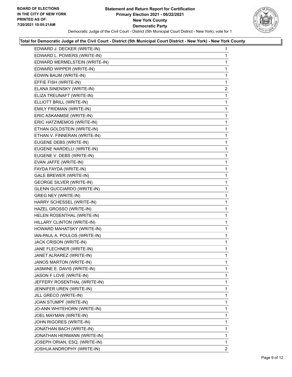

| EDWARD J. DECKER (WRITE-IN)       | 1              |
|-----------------------------------|----------------|
| EDWARD L. POWERS (WRITE-IN)       | 1              |
| EDWARD MERMELSTEIN (WRITE-IN)     | 1              |
| EDWARD WIPPER (WRITE-IN)          | 1              |
| EDWIN BAUM (WRITE-IN)             | 1              |
| EFFIE FISH (WRITE-IN)             | 1              |
| ELANA SINENSKY (WRITE-IN)         | $\overline{2}$ |
| ELIZA TREUNAFT (WRITE-IN)         | 1              |
| ELLIOTT BRILL (WRITE-IN)          | 1              |
| EMILY FRIDMAN (WRITE-IN)          | $\mathbf{1}$   |
| ERIC ASKANMSE (WRITE-IN)          | 1              |
| ERIC HATZIMEMOS (WRITE-IN)        | 1              |
| ETHAN GOLDSTEIN (WRITE-IN)        | $\mathbf{1}$   |
| ETHAN V. FINNERAN (WRITE-IN)      | 1              |
| EUGENE DEBS (WRITE-IN)            | 1              |
| EUGENE NARDELLI (WRITE-IN)        | 1              |
| EUGENE V. DEBS (WRITE-IN)         | 1              |
| EVAN JAFFE (WRITE-IN)             | 1              |
| FAYDA FAYDA (WRITE-IN)            | $\mathbf{1}$   |
| <b>GALE BREWER (WRITE-IN)</b>     | 1              |
| <b>GEORGE SILVER (WRITE-IN)</b>   | 1              |
| <b>GLENN GUCCIARDO (WRITE-IN)</b> | 1              |
| GREG NEY (WRITE-IN)               | 1              |
| HARRY SCHESSEL (WRITE-IN)         | 1              |
| HAZEL GROSSO (WRITE-IN)           | $\mathbf{1}$   |
| HELEN ROSENTHAL (WRITE-IN)        | 1              |
| HILLARY CLINTON (WRITE-IN)        | 1              |
| HOWARD MAHATSKY (WRITE-IN)        | 1              |
| IAN-PAUL A. POULOS (WRITE-IN)     | 1              |
| JACK CRISON (WRITE-IN)            | 1              |
| JANE FLECHNER (WRITE-IN)          | $\mathbf{1}$   |
| JANET ALRAREZ (WRITE-IN)          | 1              |
| JANOS MARTON (WRITE-IN)           | 1              |
| JASMINE E. DAVIS (WRITE-IN)       | 1              |
| JASON F LOVE (WRITE-IN)           | 1              |
| JEFFERY ROSENTHAL (WRITE-IN)      | 1              |
| JENNIFER UREN (WRITE-IN)          | 1              |
| JILL GRECO (WRITE-IN)             | 1              |
| JOAN STUMPF (WRITE-IN)            | 1              |
| JO-ANN WHITEHORN (WRITE-IN)       | 1              |
| JOEL MAYMAN (WRITE-IN)            | 1              |
| JOHN RIGORES (WRITE-IN)           | 1              |
| JONATHAN BACH (WRITE-IN)          | 1              |
| JONATHAN HERMANN (WRITE-IN)       | 1              |
| JOSEPH ORIAN, ESQ. (WRITE-IN)     | 1              |
| JOSHUA ANDROPHY (WRITE-IN)        | 2              |
|                                   |                |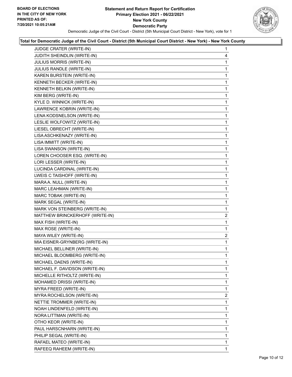

| JUDGE CRATER (WRITE-IN)         | $\mathbf{1}$   |
|---------------------------------|----------------|
| JUDITH SHEINDLIN (WRITE-IN)     | 4              |
| JULIUS MORRIS (WRITE-IN)        | 1              |
| JULIUS RANDLE (WRITE-IN)        | $\mathbf{1}$   |
| KAREN BURSTEIN (WRITE-IN)       | $\mathbf{1}$   |
| KENNETH BECKER (WRITE-IN)       | $\mathbf{1}$   |
| KENNETH BELKIN (WRITE-IN)       | $\mathbf 1$    |
| KIM BERG (WRITE-IN)             | $\mathbf{1}$   |
| KYLE D. WINNICK (WRITE-IN)      | $\mathbf{1}$   |
| LAWRENCE KOBRIN (WRITE-IN)      | $\mathbf{1}$   |
| LENA KODSNELSON (WRITE-IN)      | $\mathbf{1}$   |
| LESLIE WOLFOWITZ (WRITE-IN)     | $\mathbf{1}$   |
| LIESEL OBRECHT (WRITE-IN)       | $\mathbf 1$    |
| LISA ASCHKENAZY (WRITE-IN)      | $\mathbf{1}$   |
| LISA IMMITT (WRITE-IN)          | $\mathbf{1}$   |
| LISA SWANSON (WRITE-IN)         | $\mathbf{1}$   |
| LOREN CHOOSER ESQ. (WRITE-IN)   | $\mathbf{1}$   |
| LORI LESSER (WRITE-IN)          | $\mathbf{1}$   |
| LUCINDA CARDINAL (WRITE-IN)     | $\mathbf 1$    |
| LWEIS C TAISHOFF (WRITE-IN)     | $\mathbf{1}$   |
| MARA A. NULL (WRITE-IN)         | $\mathbf{1}$   |
| MARC LEAHMAN (WRITE-IN)         | $\mathbf{1}$   |
| MARC TOBAK (WRITE-IN)           | $\mathbf{1}$   |
| MARK SEGAL (WRITE-IN)           | $\mathbf{1}$   |
| MARK VON STEINBERG (WRITE-IN)   | $\mathbf 1$    |
| MATTHEW BRINCKERHOFF (WRITE-IN) | $\overline{c}$ |
| MAX FISH (WRITE-IN)             | $\mathbf{1}$   |
| MAX ROSE (WRITE-IN)             | 1              |
| MAYA WILEY (WRITE-IN)           | 2              |
| MIA EISNER-GRYNBERG (WRITE-IN)  | $\mathbf{1}$   |
| MICHAEL BELLINER (WRITE-IN)     | $\mathbf{1}$   |
| MICHAEL BLOOMBERG (WRITE-IN)    | 1              |
| MICHAEL DAENS (WRITE-IN)        | 1              |
| MICHAEL F. DAVIDSON (WRITE-IN)  | 1              |
| MICHELLE RITHOLTZ (WRITE-IN)    | 1              |
| MOHAMED DRISSI (WRITE-IN)       | 1              |
| MYRA FREED (WRITE-IN)           | 1              |
| MYRA ROCHELSON (WRITE-IN)       | 2              |
| NETTIE TROMMER (WRITE-IN)       | 1              |
| NOAH LINDENFELD (WRITE-IN)      | 1              |
| NORA LITTMAN (WRITE-IN)         | 1              |
| OTHO KEOR (WRITE-IN)            | 1              |
| PAUL HARSCNHARN (WRITE-IN)      | 1              |
| PHILIP SEGAL (WRITE-IN)         | 1              |
| RAFAEL MATEO (WRITE-IN)         | 1              |
| RAFEEQ RAHEEM (WRITE-IN)        | 1              |
|                                 |                |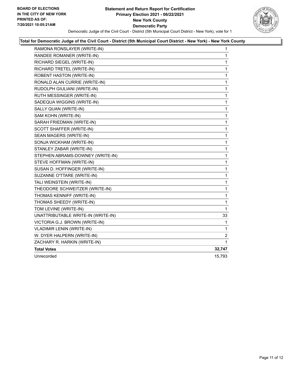#### **Statement and Return Report for Certification Primary Election 2021 - 06/22/2021 New York County Democratic Party** Democratic Judge of the Civil Court - District (5th Municipal Court District - New York), vote for 1



| RAMONA RONSLAYER (WRITE-IN)        | 1            |
|------------------------------------|--------------|
| RANDEE ROMANER (WRITE-IN)          | 1            |
| RICHARD SIEGEL (WRITE-IN)          | 1            |
| RICHARD TRETEL (WRITE-IN)          | $\mathbf 1$  |
| ROBENT HASTON (WRITE-IN)           | $\mathbf{1}$ |
| RONALD ALAN CURRIE (WRITE-IN)      | 1            |
| RUDOLPH GIULIANI (WRITE-IN)        | 1            |
| RUTH MESSINGER (WRITE-IN)          | $\mathbf{1}$ |
| SADEQUA WIGGINS (WRITE-IN)         | $\mathbf{1}$ |
| SALLY QUAN (WRITE-IN)              | 1            |
| SAM KOHN (WRITE-IN)                | $\mathbf 1$  |
| SARAH FRIEDMAN (WRITE-IN)          | 1            |
| SCOTT SHAFFER (WRITE-IN)           | 1            |
| SEAN MAGERS (WRITE-IN)             | $\mathbf 1$  |
| SONJA WICKHAM (WRITE-IN)           | $\mathbf{1}$ |
| STANLEY ZABAR (WRITE-IN)           | 1            |
| STEPHEN ABRAMS-DOWNEY (WRITE-IN)   | 1            |
| STEVE HOFFMAN (WRITE-IN)           | 1            |
| SUSAN D. HOFFINGER (WRITE-IN)      | 1            |
| SUZANNE O'TTARE (WRITE-IN)         | 1            |
| TALI WEINSTEIN (WRITE-IN)          | 1            |
| THEODORE SCHWEITZER (WRITE-IN)     | $\mathbf{1}$ |
| THOMAS KENNIFF (WRITE-IN)          | 1            |
| THOMAS SHEEDY (WRITE-IN)           | 1            |
| TOM LEVINE (WRITE-IN)              | $\mathbf 1$  |
| UNATTRIBUTABLE WRITE-IN (WRITE-IN) | 33           |
| VICTORIA G.J. BROWN (WRITE-IN)     | 1            |
| <b>VLADIMIR LENIN (WRITE-IN)</b>   | 1            |
| W. DYER HALPERN (WRITE-IN)         | 2            |
| ZACHARY R. HARKIN (WRITE-IN)       | 1            |
| <b>Total Votes</b>                 | 32,747       |
| Unrecorded                         | 15,793       |